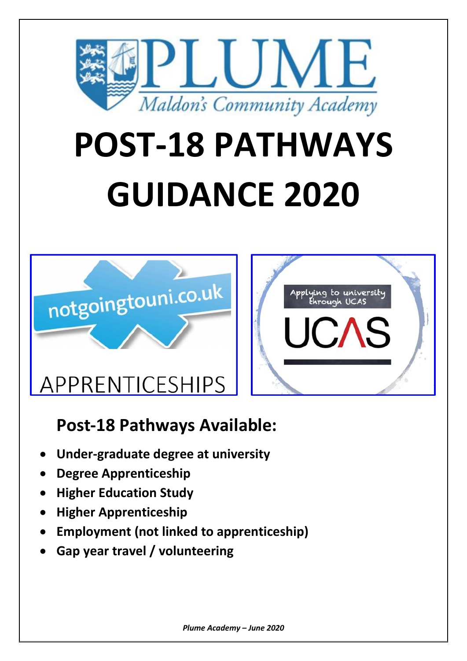

# **POST-18 PATHWAYS GUIDANCE 2020**





## **Post-18 Pathways Available:**

- **Under-graduate degree at university**
- **Degree Apprenticeship**
- **Higher Education Study**
- **Higher Apprenticeship**
- **Employment (not linked to apprenticeship)**
- **Gap year travel / volunteering**

*Plume Academy – June 2020*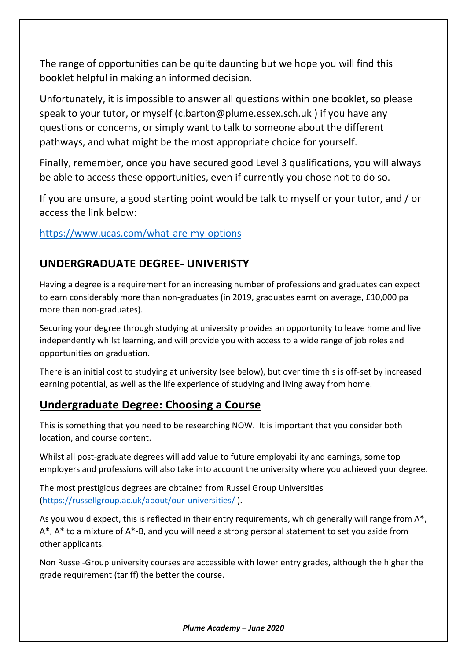The range of opportunities can be quite daunting but we hope you will find this booklet helpful in making an informed decision.

Unfortunately, it is impossible to answer all questions within one booklet, so please speak to your tutor, or myself (c.barton@plume.essex.sch.uk ) if you have any questions or concerns, or simply want to talk to someone about the different pathways, and what might be the most appropriate choice for yourself.

Finally, remember, once you have secured good Level 3 qualifications, you will always be able to access these opportunities, even if currently you chose not to do so.

If you are unsure, a good starting point would be talk to myself or your tutor, and / or access the link below:

<https://www.ucas.com/what-are-my-options>

#### **UNDERGRADUATE DEGREE- UNIVERISTY**

Having a degree is a requirement for an increasing number of professions and graduates can expect to earn considerably more than non-graduates (in 2019, graduates earnt on average, £10,000 pa more than non-graduates).

Securing your degree through studying at university provides an opportunity to leave home and live independently whilst learning, and will provide you with access to a wide range of job roles and opportunities on graduation.

There is an initial cost to studying at university (see below), but over time this is off-set by increased earning potential, as well as the life experience of studying and living away from home.

#### **Undergraduate Degree: Choosing a Course**

This is something that you need to be researching NOW. It is important that you consider both location, and course content.

Whilst all post-graduate degrees will add value to future employability and earnings, some top employers and professions will also take into account the university where you achieved your degree.

The most prestigious degrees are obtained from Russel Group Universities [\(https://russellgroup.ac.uk/about/our-universities/](https://russellgroup.ac.uk/about/our-universities/) ).

As you would expect, this is reflected in their entry requirements, which generally will range from A\*, A\*, A\* to a mixture of A\*-B, and you will need a strong personal statement to set you aside from other applicants.

Non Russel-Group university courses are accessible with lower entry grades, although the higher the grade requirement (tariff) the better the course.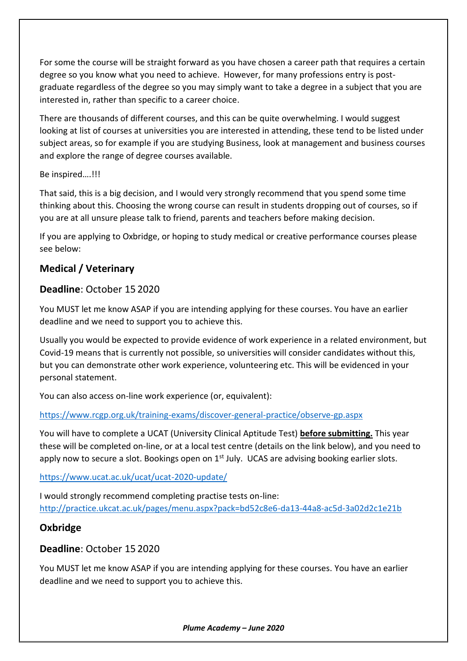For some the course will be straight forward as you have chosen a career path that requires a certain degree so you know what you need to achieve. However, for many professions entry is postgraduate regardless of the degree so you may simply want to take a degree in a subject that you are interested in, rather than specific to a career choice.

There are thousands of different courses, and this can be quite overwhelming. I would suggest looking at list of courses at universities you are interested in attending, these tend to be listed under subject areas, so for example if you are studying Business, look at management and business courses and explore the range of degree courses available.

#### Be inspired….!!!

That said, this is a big decision, and I would very strongly recommend that you spend some time thinking about this. Choosing the wrong course can result in students dropping out of courses, so if you are at all unsure please talk to friend, parents and teachers before making decision.

If you are applying to Oxbridge, or hoping to study medical or creative performance courses please see below:

#### **Medical / Veterinary**

#### **Deadline**: October 15 2020

You MUST let me know ASAP if you are intending applying for these courses. You have an earlier deadline and we need to support you to achieve this.

Usually you would be expected to provide evidence of work experience in a related environment, but Covid-19 means that is currently not possible, so universities will consider candidates without this, but you can demonstrate other work experience, volunteering etc. This will be evidenced in your personal statement.

You can also access on-line work experience (or, equivalent):

#### <https://www.rcgp.org.uk/training-exams/discover-general-practice/observe-gp.aspx>

You will have to complete a UCAT (University Clinical Aptitude Test) **before submitting.** This year these will be completed on-line, or at a local test centre (details on the link below), and you need to apply now to secure a slot. Bookings open on  $1<sup>st</sup>$  July. UCAS are advising booking earlier slots.

#### <https://www.ucat.ac.uk/ucat/ucat-2020-update/>

I would strongly recommend completing practise tests on-line: <http://practice.ukcat.ac.uk/pages/menu.aspx?pack=bd52c8e6-da13-44a8-ac5d-3a02d2c1e21b>

#### **Oxbridge**

#### **Deadline**: October 15 2020

You MUST let me know ASAP if you are intending applying for these courses. You have an earlier deadline and we need to support you to achieve this.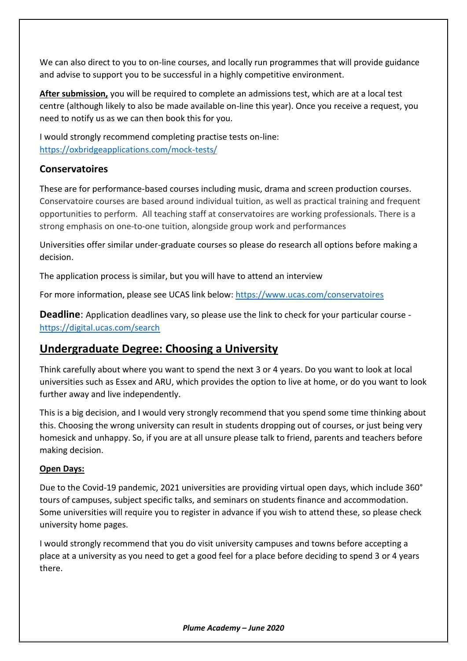We can also direct to you to on-line courses, and locally run programmes that will provide guidance and advise to support you to be successful in a highly competitive environment.

**After submission,** you will be required to complete an admissions test, which are at a local test centre (although likely to also be made available on-line this year). Once you receive a request, you need to notify us as we can then book this for you.

I would strongly recommend completing practise tests on-line: <https://oxbridgeapplications.com/mock-tests/>

#### **Conservatoires**

These are for performance-based courses including music, drama and screen production courses. Conservatoire courses are based around individual tuition, as well as practical training and frequent opportunities to perform. All teaching staff at conservatoires are working professionals. There is a strong emphasis on one-to-one tuition, alongside group work and performances

Universities offer similar under-graduate courses so please do research all options before making a decision.

The application process is similar, but you will have to attend an interview

For more information, please see UCAS link below:<https://www.ucas.com/conservatoires>

**Deadline**: Application deadlines vary, so please use the link to check for your particular course <https://digital.ucas.com/search>

#### **Undergraduate Degree: Choosing a University**

Think carefully about where you want to spend the next 3 or 4 years. Do you want to look at local universities such as Essex and ARU, which provides the option to live at home, or do you want to look further away and live independently.

This is a big decision, and I would very strongly recommend that you spend some time thinking about this. Choosing the wrong university can result in students dropping out of courses, or just being very homesick and unhappy. So, if you are at all unsure please talk to friend, parents and teachers before making decision.

#### **Open Days:**

Due to the Covid-19 pandemic, 2021 universities are providing virtual open days, which include 360° tours of campuses, subject specific talks, and seminars on students finance and accommodation. Some universities will require you to register in advance if you wish to attend these, so please check university home pages.

I would strongly recommend that you do visit university campuses and towns before accepting a place at a university as you need to get a good feel for a place before deciding to spend 3 or 4 years there.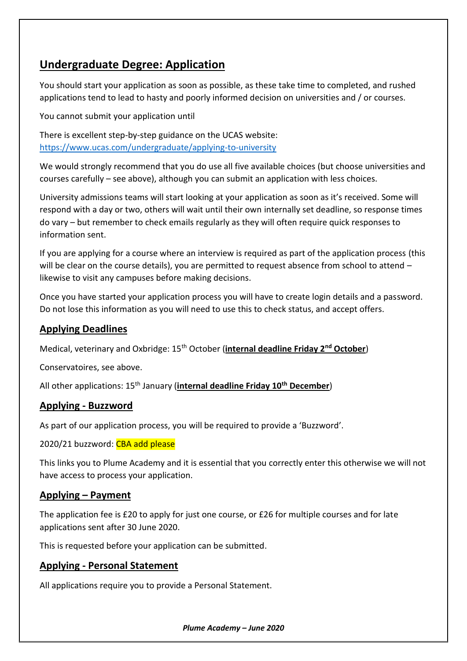#### **Undergraduate Degree: Application**

You should start your application as soon as possible, as these take time to completed, and rushed applications tend to lead to hasty and poorly informed decision on universities and / or courses.

You cannot submit your application until

There is excellent step-by-step guidance on the UCAS website: <https://www.ucas.com/undergraduate/applying-to-university>

We would strongly recommend that you do use all five available choices (but choose universities and courses carefully – see above), although you can submit an application with less choices.

University admissions teams will start looking at your application as soon as it's received. Some will respond with a day or two, others will wait until their own internally set deadline, so response times do vary – but remember to check emails regularly as they will often require quick responses to information sent.

If you are applying for a course where an interview is required as part of the application process (this will be clear on the course details), you are permitted to request absence from school to attend – likewise to visit any campuses before making decisions.

Once you have started your application process you will have to create login details and a password. Do not lose this information as you will need to use this to check status, and accept offers.

#### **Applying Deadlines**

Medical, veterinary and Oxbridge: 15th October (**internal deadline Friday 2nd October**)

Conservatoires, see above.

All other applications: 15th January (**internal deadline Friday 10th December**)

#### **Applying - Buzzword**

As part of our application process, you will be required to provide a 'Buzzword'.

2020/21 buzzword: CBA add please

This links you to Plume Academy and it is essential that you correctly enter this otherwise we will not have access to process your application.

#### **Applying – Payment**

The application fee is £20 to apply for just one course, or £26 for multiple courses and for late applications sent after 30 June 2020.

This is requested before your application can be submitted.

#### **Applying - Personal Statement**

All applications require you to provide a Personal Statement.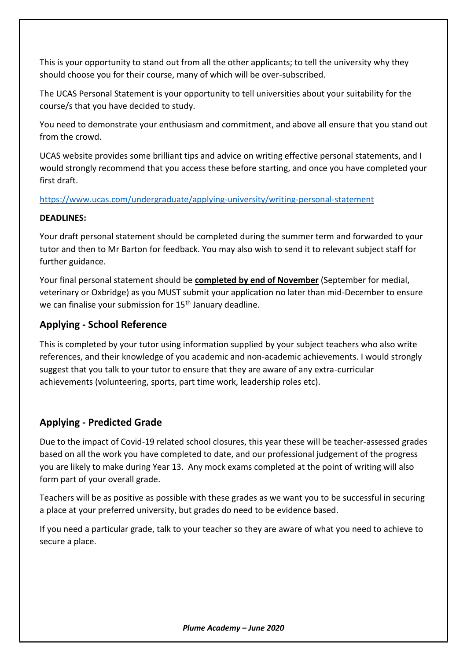This is your opportunity to stand out from all the other applicants; to tell the university why they should choose you for their course, many of which will be over-subscribed.

The UCAS Personal Statement is your opportunity to tell universities about your suitability for the course/s that you have decided to study.

You need to demonstrate your enthusiasm and commitment, and above all ensure that you stand out from the crowd.

UCAS website provides some brilliant tips and advice on writing effective personal statements, and I would strongly recommend that you access these before starting, and once you have completed your first draft.

#### <https://www.ucas.com/undergraduate/applying-university/writing-personal-statement>

#### **DEADLINES:**

Your draft personal statement should be completed during the summer term and forwarded to your tutor and then to Mr Barton for feedback. You may also wish to send it to relevant subject staff for further guidance.

Your final personal statement should be **completed by end of November** (September for medial, veterinary or Oxbridge) as you MUST submit your application no later than mid-December to ensure we can finalise your submission for 15<sup>th</sup> January deadline.

#### **Applying - School Reference**

This is completed by your tutor using information supplied by your subject teachers who also write references, and their knowledge of you academic and non-academic achievements. I would strongly suggest that you talk to your tutor to ensure that they are aware of any extra-curricular achievements (volunteering, sports, part time work, leadership roles etc).

#### **Applying - Predicted Grade**

Due to the impact of Covid-19 related school closures, this year these will be teacher-assessed grades based on all the work you have completed to date, and our professional judgement of the progress you are likely to make during Year 13. Any mock exams completed at the point of writing will also form part of your overall grade.

Teachers will be as positive as possible with these grades as we want you to be successful in securing a place at your preferred university, but grades do need to be evidence based.

If you need a particular grade, talk to your teacher so they are aware of what you need to achieve to secure a place.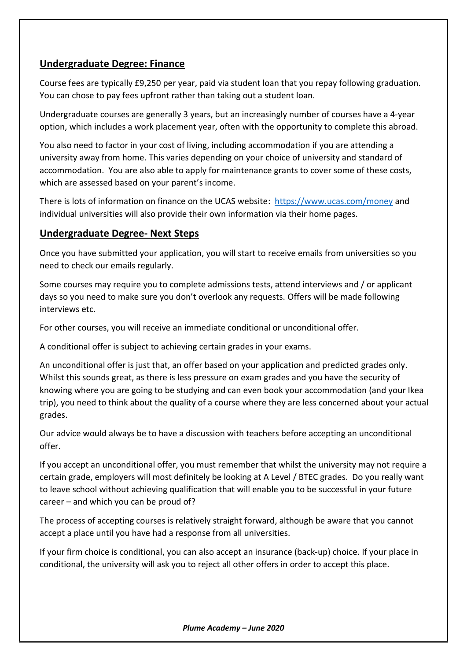#### **Undergraduate Degree: Finance**

Course fees are typically £9,250 per year, paid via student loan that you repay following graduation. You can chose to pay fees upfront rather than taking out a student loan.

Undergraduate courses are generally 3 years, but an increasingly number of courses have a 4-year option, which includes a work placement year, often with the opportunity to complete this abroad.

You also need to factor in your cost of living, including accommodation if you are attending a university away from home. This varies depending on your choice of university and standard of accommodation. You are also able to apply for maintenance grants to cover some of these costs, which are assessed based on your parent's income.

There is lots of information on finance on the UCAS website: <https://www.ucas.com/money> and individual universities will also provide their own information via their home pages.

#### **Undergraduate Degree- Next Steps**

Once you have submitted your application, you will start to receive emails from universities so you need to check our emails regularly.

Some courses may require you to complete admissions tests, attend interviews and / or applicant days so you need to make sure you don't overlook any requests. Offers will be made following interviews etc.

For other courses, you will receive an immediate conditional or unconditional offer.

A conditional offer is subject to achieving certain grades in your exams.

An unconditional offer is just that, an offer based on your application and predicted grades only. Whilst this sounds great, as there is less pressure on exam grades and you have the security of knowing where you are going to be studying and can even book your accommodation (and your Ikea trip), you need to think about the quality of a course where they are less concerned about your actual grades.

Our advice would always be to have a discussion with teachers before accepting an unconditional offer.

If you accept an unconditional offer, you must remember that whilst the university may not require a certain grade, employers will most definitely be looking at A Level / BTEC grades. Do you really want to leave school without achieving qualification that will enable you to be successful in your future career – and which you can be proud of?

The process of accepting courses is relatively straight forward, although be aware that you cannot accept a place until you have had a response from all universities.

If your firm choice is conditional, you can also accept an insurance (back-up) choice. If your place in conditional, the university will ask you to reject all other offers in order to accept this place.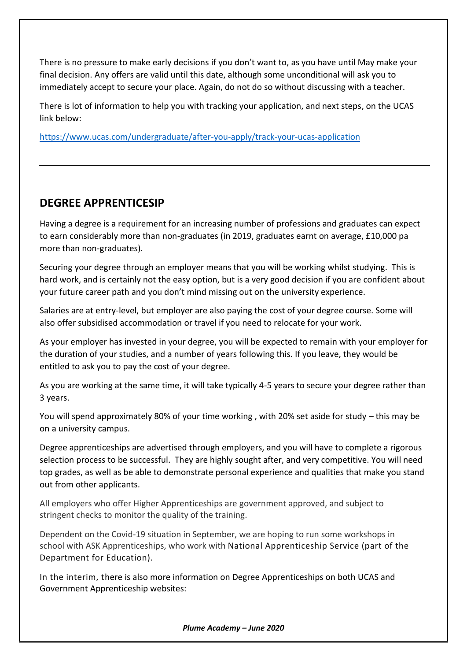There is no pressure to make early decisions if you don't want to, as you have until May make your final decision. Any offers are valid until this date, although some unconditional will ask you to immediately accept to secure your place. Again, do not do so without discussing with a teacher.

There is lot of information to help you with tracking your application, and next steps, on the UCAS link below:

<https://www.ucas.com/undergraduate/after-you-apply/track-your-ucas-application>

#### **DEGREE APPRENTICESIP**

Having a degree is a requirement for an increasing number of professions and graduates can expect to earn considerably more than non-graduates (in 2019, graduates earnt on average, £10,000 pa more than non-graduates).

Securing your degree through an employer means that you will be working whilst studying. This is hard work, and is certainly not the easy option, but is a very good decision if you are confident about your future career path and you don't mind missing out on the university experience.

Salaries are at entry-level, but employer are also paying the cost of your degree course. Some will also offer subsidised accommodation or travel if you need to relocate for your work.

As your employer has invested in your degree, you will be expected to remain with your employer for the duration of your studies, and a number of years following this. If you leave, they would be entitled to ask you to pay the cost of your degree.

As you are working at the same time, it will take typically 4-5 years to secure your degree rather than 3 years.

You will spend approximately 80% of your time working , with 20% set aside for study – this may be on a university campus.

Degree apprenticeships are advertised through employers, and you will have to complete a rigorous selection process to be successful. They are highly sought after, and very competitive. You will need top grades, as well as be able to demonstrate personal experience and qualities that make you stand out from other applicants.

All employers who offer Higher Apprenticeships are government approved, and subject to stringent checks to monitor the quality of the training.

Dependent on the Covid-19 situation in September, we are hoping to run some workshops in school with ASK Apprenticeships, who work with National Apprenticeship Service (part of the Department for Education).

In the interim, there is also more information on Degree Apprenticeships on both UCAS and Government Apprenticeship websites:

*Plume Academy – June 2020*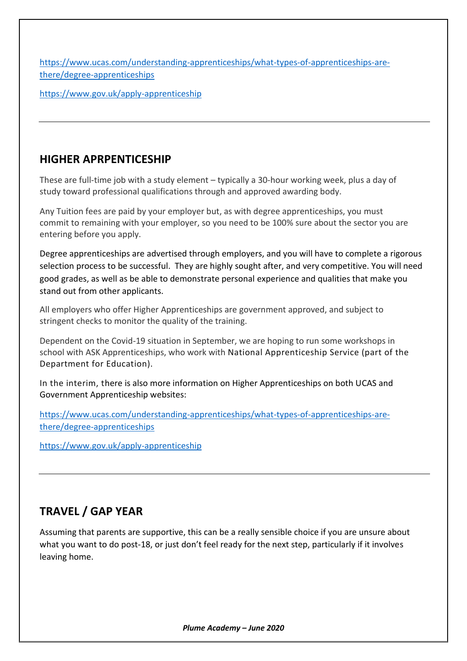[https://www.ucas.com/understanding-apprenticeships/what-types-of-apprenticeships-are](https://www.ucas.com/understanding-apprenticeships/what-types-of-apprenticeships-are-there/degree-apprenticeships)[there/degree-apprenticeships](https://www.ucas.com/understanding-apprenticeships/what-types-of-apprenticeships-are-there/degree-apprenticeships)

<https://www.gov.uk/apply-apprenticeship>

#### **HIGHER APRPENTICESHIP**

These are full-time job with a study element – typically a 30-hour working week, plus a day of study toward professional qualifications through and approved awarding body.

Any Tuition fees are paid by your employer but, as with degree apprenticeships, you must commit to remaining with your employer, so you need to be 100% sure about the sector you are entering before you apply.

Degree apprenticeships are advertised through employers, and you will have to complete a rigorous selection process to be successful. They are highly sought after, and very competitive. You will need good grades, as well as be able to demonstrate personal experience and qualities that make you stand out from other applicants.

All employers who offer Higher Apprenticeships are government approved, and subject to stringent checks to monitor the quality of the training.

Dependent on the Covid-19 situation in September, we are hoping to run some workshops in school with ASK Apprenticeships, who work with National Apprenticeship Service (part of the Department for Education).

In the interim, there is also more information on Higher Apprenticeships on both UCAS and Government Apprenticeship websites:

[https://www.ucas.com/understanding-apprenticeships/what-types-of-apprenticeships-are](https://www.ucas.com/understanding-apprenticeships/what-types-of-apprenticeships-are-there/degree-apprenticeships)[there/degree-apprenticeships](https://www.ucas.com/understanding-apprenticeships/what-types-of-apprenticeships-are-there/degree-apprenticeships)

<https://www.gov.uk/apply-apprenticeship>

#### **TRAVEL / GAP YEAR**

Assuming that parents are supportive, this can be a really sensible choice if you are unsure about what you want to do post-18, or just don't feel ready for the next step, particularly if it involves leaving home.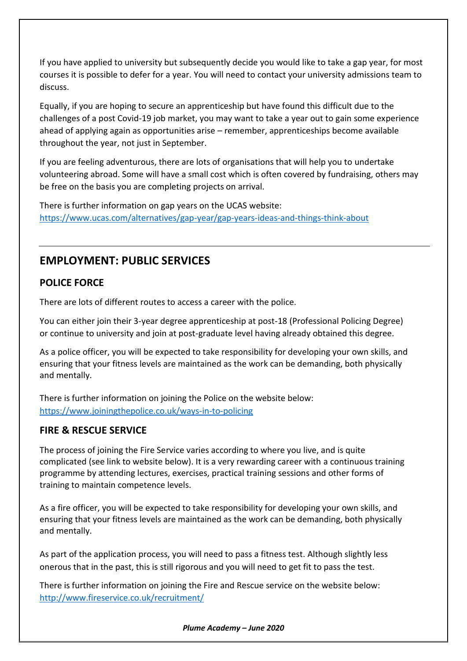If you have applied to university but subsequently decide you would like to take a gap year, for most courses it is possible to defer for a year. You will need to contact your university admissions team to discuss.

Equally, if you are hoping to secure an apprenticeship but have found this difficult due to the challenges of a post Covid-19 job market, you may want to take a year out to gain some experience ahead of applying again as opportunities arise – remember, apprenticeships become available throughout the year, not just in September.

If you are feeling adventurous, there are lots of organisations that will help you to undertake volunteering abroad. Some will have a small cost which is often covered by fundraising, others may be free on the basis you are completing projects on arrival.

There is further information on gap years on the UCAS website: <https://www.ucas.com/alternatives/gap-year/gap-years-ideas-and-things-think-about>

#### **EMPLOYMENT: PUBLIC SERVICES**

#### **POLICE FORCE**

There are lots of different routes to access a career with the police.

You can either join their 3-year degree apprenticeship at post-18 (Professional Policing Degree) or continue to university and join at post-graduate level having already obtained this degree.

As a police officer, you will be expected to take responsibility for developing your own skills, and ensuring that your fitness levels are maintained as the work can be demanding, both physically and mentally.

There is further information on joining the Police on the website below: <https://www.joiningthepolice.co.uk/ways-in-to-policing>

#### **FIRE & RESCUE SERVICE**

The process of joining the Fire Service varies according to where you live, and is quite complicated (see link to website below). It is a very rewarding career with a continuous training programme by attending lectures, exercises, practical training sessions and other forms of training to maintain competence levels.

As a fire officer, you will be expected to take responsibility for developing your own skills, and ensuring that your fitness levels are maintained as the work can be demanding, both physically and mentally.

As part of the application process, you will need to pass a fitness test. Although slightly less onerous that in the past, this is still rigorous and you will need to get fit to pass the test.

There is further information on joining the Fire and Rescue service on the website below: <http://www.fireservice.co.uk/recruitment/>

*Plume Academy – June 2020*